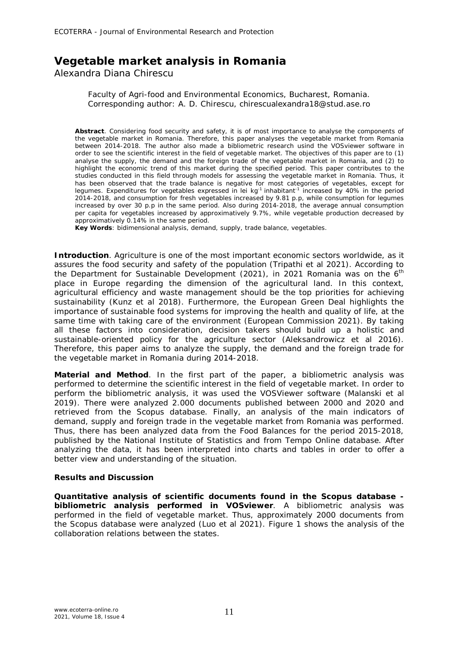## **Vegetable market analysis in Romania**

Alexandra Diana Chirescu

Faculty of Agri-food and Environmental Economics, Bucharest, Romania. Corresponding author: A. D. Chirescu, chirescualexandra18@stud.ase.ro

**Abstract**. Considering food security and safety, it is of most importance to analyse the components of the vegetable market in Romania. Therefore, this paper analyses the vegetable market from Romania between 2014-2018. The author also made a bibliometric research usind the VOSviewer software in order to see the scientific interest in the field of vegetable market. The objectives of this paper are to (1) analyse the supply, the demand and the foreign trade of the vegetable market in Romania, and (2) to highlight the economic trend of this market during the specified period. This paper contributes to the studies conducted in this field through models for assessing the vegetable market in Romania. Thus, it has been observed that the trade balance is negative for most categories of vegetables, except for legumes. Expenditures for vegetables expressed in lei kg<sup>-1</sup> inhabitant<sup>-1</sup> increased by 40% in the period 2014-2018, and consumption for fresh vegetables increased by 9.81 p.p, while consumption for legumes increased by over 30 p.p in the same period. Also during 2014-2018, the average annual consumption per capita for vegetables increased by approximatively 9.7%, while vegetable production decreased by approximatively 0.14% in the same period.

**Key Words**: bidimensional analysis, demand, supply, trade balance, vegetables.

**Introduction**. Agriculture is one of the most important economic sectors worldwide, as it assures the food security and safety of the population (Tripathi et al 2021). According to the Department for Sustainable Development (2021), in 2021 Romania was on the  $6<sup>th</sup>$ place in Europe regarding the dimension of the agricultural land. In this context, agricultural efficiency and waste management should be the top priorities for achieving sustainability (Kunz et al 2018). Furthermore, the European Green Deal highlights the importance of sustainable food systems for improving the health and quality of life, at the same time with taking care of the environment (European Commission 2021). By taking all these factors into consideration, decision takers should build up a holistic and sustainable-oriented policy for the agriculture sector (Aleksandrowicz et al 2016). Therefore, this paper aims to analyze the supply, the demand and the foreign trade for the vegetable market in Romania during 2014-2018.

**Material and Method**. In the first part of the paper, a bibliometric analysis was performed to determine the scientific interest in the field of vegetable market. In order to perform the bibliometric analysis, it was used the VOSViewer software (Malanski et al 2019). There were analyzed 2.000 documents published between 2000 and 2020 and retrieved from the Scopus database. Finally, an analysis of the main indicators of demand, supply and foreign trade in the vegetable market from Romania was performed. Thus, there has been analyzed data from the Food Balances for the period 2015-2018, published by the National Institute of Statistics and from Tempo Online database. After analyzing the data, it has been interpreted into charts and tables in order to offer a better view and understanding of the situation.

## **Results and Discussion**

*Quantitative analysis of scientific documents found in the Scopus database bibliometric analysis performed in VOSviewer.* A bibliometric analysis was performed in the field of vegetable market. Thus, approximately 2000 documents from the Scopus database were analyzed (Luo et al 2021). Figure 1 shows the analysis of the collaboration relations between the states.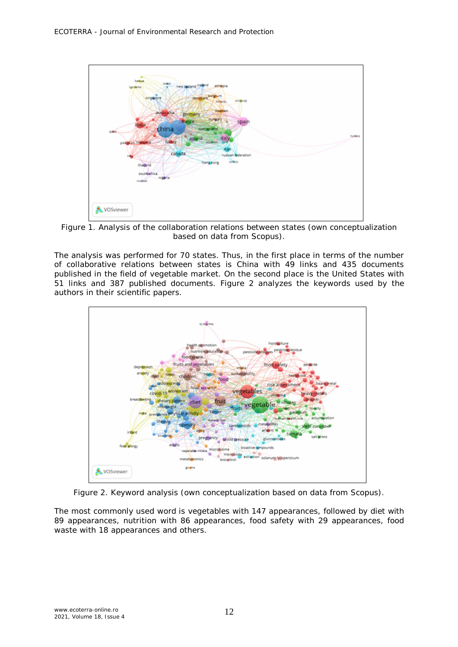

Figure 1. Analysis of the collaboration relations between states (own conceptualization based on data from Scopus).

The analysis was performed for 70 states. Thus, in the first place in terms of the number of collaborative relations between states is China with 49 links and 435 documents published in the field of vegetable market. On the second place is the United States with 51 links and 387 published documents. Figure 2 analyzes the keywords used by the authors in their scientific papers.



Figure 2. Keyword analysis (own conceptualization based on data from Scopus).

The most commonly used word is vegetables with 147 appearances, followed by diet with 89 appearances, nutrition with 86 appearances, food safety with 29 appearances, food waste with 18 appearances and others.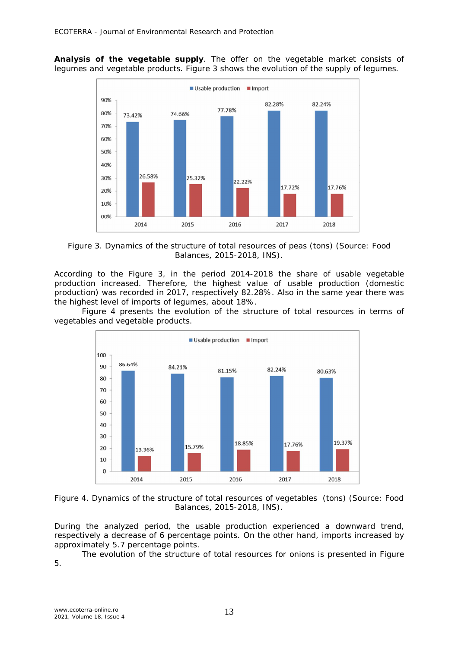*Analysis of the vegetable supply.* The offer on the vegetable market consists of legumes and vegetable products. Figure 3 shows the evolution of the supply of legumes.



Figure 3. Dynamics of the structure of total resources of peas (tons) (Source: Food Balances, 2015-2018, INS).

According to the Figure 3, in the period 2014-2018 the share of usable vegetable production increased. Therefore, the highest value of usable production (domestic production) was recorded in 2017, respectively 82.28%. Also in the same year there was the highest level of imports of legumes, about 18%.

Figure 4 presents the evolution of the structure of total resources in terms of vegetables and vegetable products.





During the analyzed period, the usable production experienced a downward trend, respectively a decrease of 6 percentage points. On the other hand, imports increased by approximately 5.7 percentage points.

The evolution of the structure of total resources for onions is presented in Figure 5.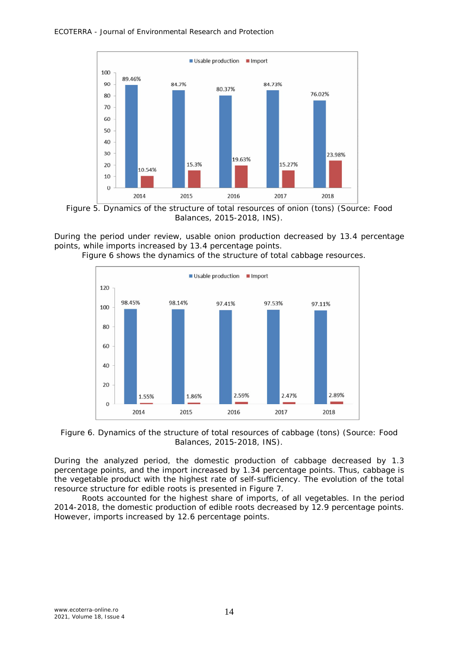

Figure 5. Dynamics of the structure of total resources of onion (tons) (Source: Food Balances, 2015-2018, INS).

During the period under review, usable onion production decreased by 13.4 percentage points, while imports increased by 13.4 percentage points.





Figure 6. Dynamics of the structure of total resources of cabbage (tons) (Source: Food Balances, 2015-2018, INS).

During the analyzed period, the domestic production of cabbage decreased by 1.3 percentage points, and the import increased by 1.34 percentage points. Thus, cabbage is the vegetable product with the highest rate of self-sufficiency. The evolution of the total resource structure for edible roots is presented in Figure 7.

Roots accounted for the highest share of imports, of all vegetables. In the period 2014-2018, the domestic production of edible roots decreased by 12.9 percentage points. However, imports increased by 12.6 percentage points.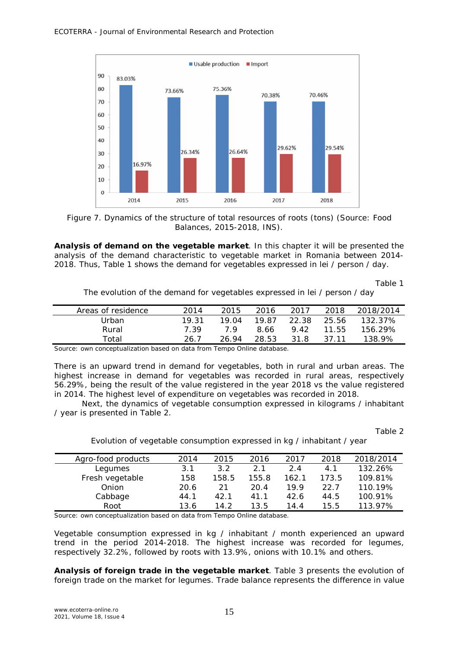

Figure 7. Dynamics of the structure of total resources of roots (tons) (Source: Food Balances, 2015-2018, INS).

*Analysis of demand on the vegetable market.* In this chapter it will be presented the analysis of the demand characteristic to vegetable market in Romania between 2014- 2018. Thus, Table 1 shows the demand for vegetables expressed in lei / person / day.

Table 1

| The evolution of the demand for vegetables expressed in lei / person / day |  |  |  |  |  |
|----------------------------------------------------------------------------|--|--|--|--|--|
|                                                                            |  |  |  |  |  |

| Areas of residence | 2014  | 2015  | 2016  | 2017  | 2018  | 2018/2014 |
|--------------------|-------|-------|-------|-------|-------|-----------|
| Urban              | 19.31 | 19 Q4 | 19.87 | 22.38 | 25.56 | 132.37%   |
| Rural              | 7.39  | 7 Q   | 8.66  | 942   | 11.55 | 156.29%   |
| Total              | 26.7  | 26.94 | 28.53 | 31.8  | 37 11 | 138.9%    |

Source: own conceptualization based on data from Tempo Online database.

There is an upward trend in demand for vegetables, both in rural and urban areas. The highest increase in demand for vegetables was recorded in rural areas, respectively 56.29%, being the result of the value registered in the year 2018 vs the value registered in 2014. The highest level of expenditure on vegetables was recorded in 2018.

Next, the dynamics of vegetable consumption expressed in kilograms / inhabitant / year is presented in Table 2.

Table 2

| Agro-food products | 2014 | 2015  | 2016  | 2017  | 2018  | 2018/2014 |
|--------------------|------|-------|-------|-------|-------|-----------|
| Legumes            | 3.1  | 3.2   | 21    | 2.4   | 4.1   | 132.26%   |
| Fresh vegetable    | 158  | 158.5 | 155.8 | 162.1 | 173.5 | 109.81%   |
| Onion              | 20.6 | 21    | 20.4  | 199   | 22 Z  | 110.19%   |
| Cabbage            | 44.1 | 42.1  | 41.1  | 42.6  | 44.5  | 100.91%   |
| Root               | 13.6 | 14.2  | 13.5  | 14.4  | 15.5  | 113.97%   |

Evolution of vegetable consumption expressed in kg / inhabitant / year

Source: own conceptualization based on data from Tempo Online database.

Vegetable consumption expressed in kg / inhabitant / month experienced an upward trend in the period 2014-2018. The highest increase was recorded for legumes, respectively 32.2%, followed by roots with 13.9%, onions with 10.1% and others.

*Analysis of foreign trade in the vegetable market.* Table 3 presents the evolution of foreign trade on the market for legumes. Trade balance represents the difference in value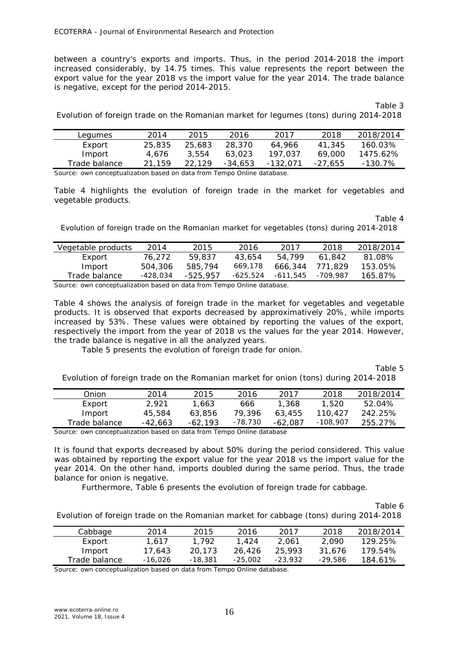between a country's exports and imports. Thus, in the period 2014-2018 the import increased considerably, by 14.75 times. This value represents the report between the export value for the year 2018 vs the import value for the year 2014. The trade balance is negative, except for the period 2014-2015.

Table 3

Evolution of foreign trade on the Romanian market for legumes (tons) during 2014-2018

|        | Legumes       | 2014   | 2015   | 2016    | 2017     | 2018    | 2018/2014  |
|--------|---------------|--------|--------|---------|----------|---------|------------|
|        | Export        | 25,835 | 25.683 | 28.370  | 64.966   | 41.345  | 160.03%    |
|        | Import        | 4.676  | 3.554  | 63.023  | 197.037  | 69.000  | 1475.62%   |
|        | Trade balance | 21.159 | 22.129 | -34,653 | -132.071 | -27.655 | $-130.7\%$ |
| $\sim$ |               |        |        |         |          |         |            |

Source: own conceptualization based on data from Tempo Online database.

Table 4 highlights the evolution of foreign trade in the market for vegetables and vegetable products.

Table 4

Evolution of foreign trade on the Romanian market for vegetables (tons) during 2014-2018

| Vegetable products | 2014     | 2015     | 2016     | 2017     | 2018     | 2018/2014 |
|--------------------|----------|----------|----------|----------|----------|-----------|
| Export             | 76.272   | 59,837   | 43.654   | 54.799   | 61.842   | 81.08%    |
| Import             | 504,306  | 585,794  | 669.178  | 666.344  | 771.829  | 153.05%   |
| Trade balance      | -428,034 | -525.957 | -625,524 | -611.545 | -709.987 | 165.87%   |
|                    |          |          |          |          |          |           |

Source: own conceptualization based on data from Tempo Online database.

Table 4 shows the analysis of foreign trade in the market for vegetables and vegetable products. It is observed that exports decreased by approximatively 20%, while imports increased by 53%. These values were obtained by reporting the values of the export, respectively the import from the year of 2018 vs the values for the year 2014. However, the trade balance is negative in all the analyzed years.

Table 5 presents the evolution of foreign trade for onion.

Table 5

Evolution of foreign trade on the Romanian market for onion (tons) during 2014-2018

|        | Onion         | 2014    | 2015    | 2016      | 2017      | 2018       | 2018/2014 |
|--------|---------------|---------|---------|-----------|-----------|------------|-----------|
|        | Export        | 2.921   | 1,663   | 666       | 1,368     | 1.520      | 52.04%    |
|        | Import        | 45,584  | 63.856  | 79.396    | 63.455    | 110.427    | 242.25%   |
|        | Trade balance | -42.663 | -62.193 | $-78,730$ | $-62.087$ | $-108,907$ | 255.27%   |
| $\sim$ |               |         |         |           |           |            |           |

Source: own conceptualization based on data from Tempo Online database

It is found that exports decreased by about 50% during the period considered. This value was obtained by reporting the export value for the year 2018 vs the import value for the year 2014. On the other hand, imports doubled during the same period. Thus, the trade balance for onion is negative.

Furthermore, Table 6 presents the evolution of foreign trade for cabbage.

Table 6

Evolution of foreign trade on the Romanian market for cabbage (tons) during 2014-2018

| Cabbage       | 2014    | 2015    | 2016      | 2017    | 2018    | 2018/2014 |
|---------------|---------|---------|-----------|---------|---------|-----------|
| Export        | 1.617   | 1.792   | 1.424     | 2.061   | 2.090   | 129.25%   |
| Import        | 17.643  | 20.173  | 26.426    | 25.993  | 31.676  | 179.54%   |
| Trade balance | -16.026 | -18,381 | $-25.002$ | -23.932 | -29.586 | 184.61%   |

Source: own conceptualization based on data from Tempo Online database.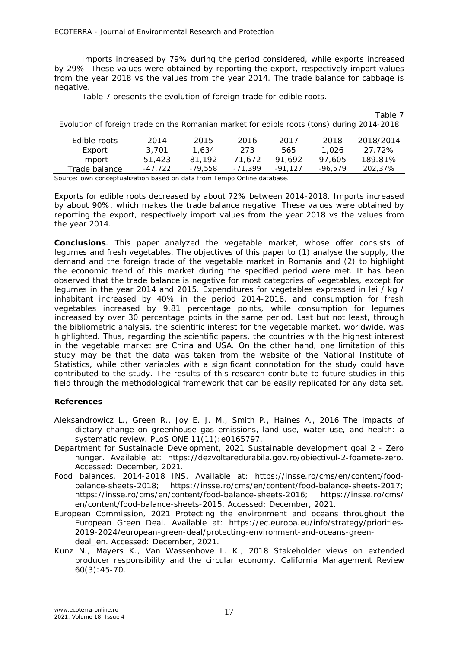Imports increased by 79% during the period considered, while exports increased by 29%. These values were obtained by reporting the export, respectively import values from the year 2018 vs the values from the year 2014. The trade balance for cabbage is negative.

Table 7 presents the evolution of foreign trade for edible roots.

|                                                                                            | Table 7 |
|--------------------------------------------------------------------------------------------|---------|
| Evolution of foreign trade on the Romanian market for edible roots (tons) during 2014-2018 |         |

| <i>Edible roots</i> | 2014    | 2015    | 2016      | 2017      | 2018    | 2018/2014 |
|---------------------|---------|---------|-----------|-----------|---------|-----------|
| Export              | 3,701   | 1.634   | 273       | 565       | 1.026   | -27.72%   |
| Import              | 51,423  | 81.192  | 71.672    | 91.692    | 97.605  | 189.81%   |
| Trade balance       | -47.722 | -79.558 | $-71.399$ | $-91.127$ | -96.579 | 202,37%   |
|                     |         |         |           |           |         |           |

Source: own conceptualization based on data from Tempo Online database.

Exports for edible roots decreased by about 72% between 2014-2018. Imports increased by about 90%, which makes the trade balance negative. These values were obtained by reporting the export, respectively import values from the year 2018 vs the values from the year 2014.

**Conclusions**. This paper analyzed the vegetable market, whose offer consists of legumes and fresh vegetables. The objectives of this paper to (1) analyse the supply, the demand and the foreign trade of the vegetable market in Romania and (2) to highlight the economic trend of this market during the specified period were met. It has been observed that the trade balance is negative for most categories of vegetables, except for legumes in the year 2014 and 2015. Expenditures for vegetables expressed in lei / kg / inhabitant increased by 40% in the period 2014-2018, and consumption for fresh vegetables increased by 9.81 percentage points, while consumption for legumes increased by over 30 percentage points in the same period. Last but not least, through the bibliometric analysis, the scientific interest for the vegetable market, worldwide, was highlighted. Thus, regarding the scientific papers, the countries with the highest interest in the vegetable market are China and USA. On the other hand, one limitation of this study may be that the data was taken from the website of the National Institute of Statistics, while other variables with a significant connotation for the study could have contributed to the study. The results of this research contribute to future studies in this field through the methodological framework that can be easily replicated for any data set.

## **References**

- Aleksandrowicz L., Green R., Joy E. J. M., Smith P., Haines A., 2016 The impacts of dietary change on greenhouse gas emissions, land use, water use, and health: a systematic review. PLoS ONE 11(11): e0165797.
- Department for Sustainable Development, 2021 Sustainable development goal 2 Zero hunger. Available at: https://dezvoltaredurabila.gov.ro/obiectivul-2-foamete-zero. Accessed: December, 2021.
- Food balances, 2014-2018 INS. Available at: https://insse.ro/cms/en/content/foodbalance-sheets-2018; https://insse.ro/cms/en/content/food-balance-sheets-2017; https://insse.ro/cms/en/content/food-balance-sheets-2016; https://insse.ro/cms/ en/content/food-balance-sheets-2015. Accessed: December, 2021.
- European Commission, 2021 Protecting the environment and oceans throughout the European Green Deal. Available at: https://ec.europa.eu/info/strategy/priorities-2019-2024/european-green-deal/protecting-environment-and-oceans-greendeal en. Accessed: December, 2021.
- Kunz N., Mayers K., Van Wassenhove L. K., 2018 Stakeholder views on extended producer responsibility and the circular economy. California Management Review 60(3):45-70.